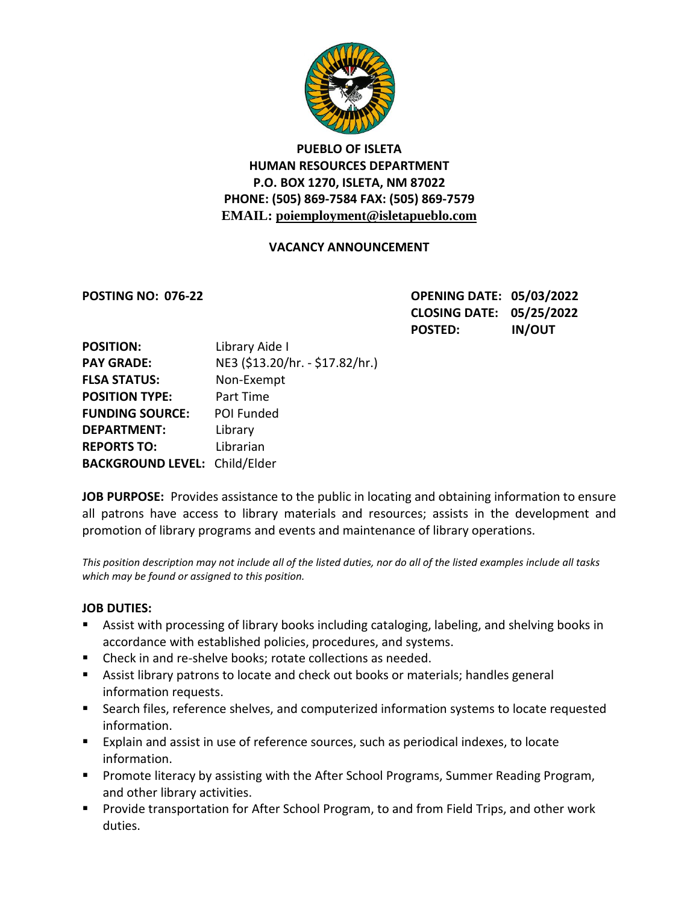

# **PUEBLO OF ISLETA HUMAN RESOURCES DEPARTMENT P.O. BOX 1270, ISLETA, NM 87022 PHONE: (505) 869-7584 FAX: (505) 869-7579 EMAIL: poiemployment@isletapueblo.com**

### **VACANCY ANNOUNCEMENT**

**POSTING NO: 076-22 OPENING DATE: 05/03/2022 CLOSING DATE: 05/25/2022 POSTED: IN/OUT**

| <b>POSITION:</b>                     | Library Aide I                  |
|--------------------------------------|---------------------------------|
| <b>PAY GRADE:</b>                    | NE3 (\$13.20/hr. - \$17.82/hr.) |
| <b>FLSA STATUS:</b>                  | Non-Exempt                      |
| <b>POSITION TYPE:</b>                | Part Time                       |
| <b>FUNDING SOURCE:</b>               | POI Funded                      |
| <b>DEPARTMENT:</b>                   | Library                         |
| <b>REPORTS TO:</b>                   | Librarian                       |
| <b>BACKGROUND LEVEL: Child/Elder</b> |                                 |

**JOB PURPOSE:** Provides assistance to the public in locating and obtaining information to ensure all patrons have access to library materials and resources; assists in the development and promotion of library programs and events and maintenance of library operations.

*This position description may not include all of the listed duties, nor do all of the listed examples include all tasks which may be found or assigned to this position.*

### **JOB DUTIES:**

- Assist with processing of library books including cataloging, labeling, and shelving books in accordance with established policies, procedures, and systems.
- Check in and re-shelve books; rotate collections as needed.
- Assist library patrons to locate and check out books or materials; handles general information requests.
- Search files, reference shelves, and computerized information systems to locate requested information.
- Explain and assist in use of reference sources, such as periodical indexes, to locate information.
- **Promote literacy by assisting with the After School Programs, Summer Reading Program,** and other library activities.
- **Provide transportation for After School Program, to and from Field Trips, and other work** duties.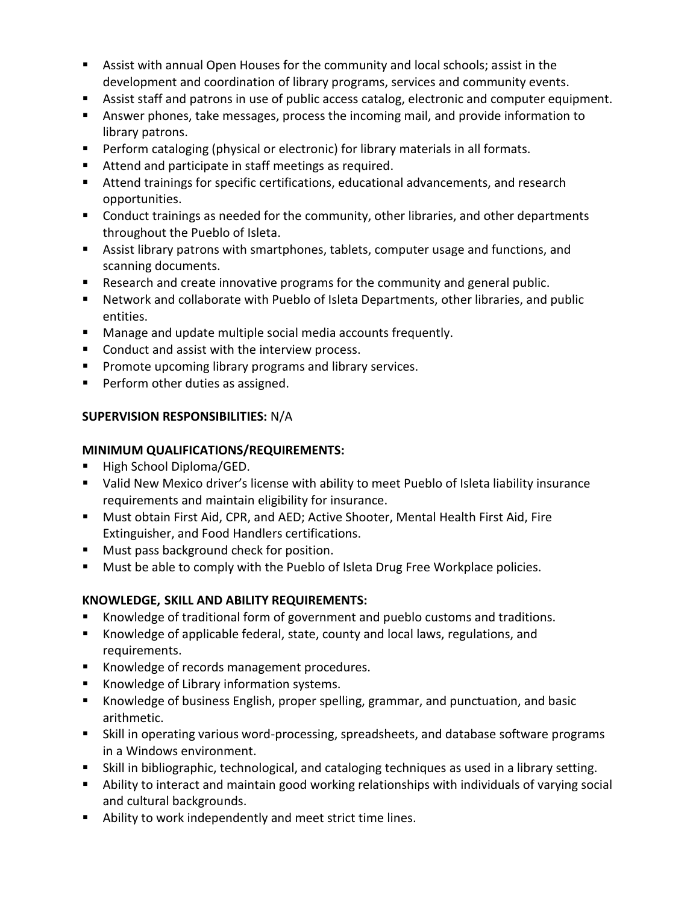- Assist with annual Open Houses for the community and local schools; assist in the development and coordination of library programs, services and community events.
- Assist staff and patrons in use of public access catalog, electronic and computer equipment.
- Answer phones, take messages, process the incoming mail, and provide information to library patrons.
- **Perform cataloging (physical or electronic) for library materials in all formats.**
- Attend and participate in staff meetings as required.
- Attend trainings for specific certifications, educational advancements, and research opportunities.
- **Conduct trainings as needed for the community, other libraries, and other departments** throughout the Pueblo of Isleta.
- Assist library patrons with smartphones, tablets, computer usage and functions, and scanning documents.
- Research and create innovative programs for the community and general public.
- Network and collaborate with Pueblo of Isleta Departments, other libraries, and public entities.
- **Manage and update multiple social media accounts frequently.**
- **Conduct and assist with the interview process.**
- **Promote upcoming library programs and library services.**
- **Perform other duties as assigned.**

# **SUPERVISION RESPONSIBILITIES:** N/A

## **MINIMUM QUALIFICATIONS/REQUIREMENTS:**

- High School Diploma/GED.
- Valid New Mexico driver's license with ability to meet Pueblo of Isleta liability insurance requirements and maintain eligibility for insurance.
- Must obtain First Aid, CPR, and AED; Active Shooter, Mental Health First Aid, Fire Extinguisher, and Food Handlers certifications.
- **Must pass background check for position.**
- **Must be able to comply with the Pueblo of Isleta Drug Free Workplace policies.**

## **KNOWLEDGE, SKILL AND ABILITY REQUIREMENTS:**

- Knowledge of traditional form of government and pueblo customs and traditions.
- Knowledge of applicable federal, state, county and local laws, regulations, and requirements.
- Knowledge of records management procedures.
- Knowledge of Library information systems.
- Knowledge of business English, proper spelling, grammar, and punctuation, and basic arithmetic.
- Skill in operating various word-processing, spreadsheets, and database software programs in a Windows environment.
- Skill in bibliographic, technological, and cataloging techniques as used in a library setting.
- Ability to interact and maintain good working relationships with individuals of varying social and cultural backgrounds.
- Ability to work independently and meet strict time lines.